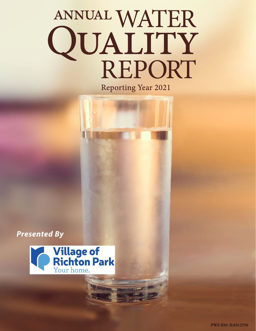# ANNUAL WATER<br>QUALITY<br>REPORT **Reporting Year 2021**

*Presented By*

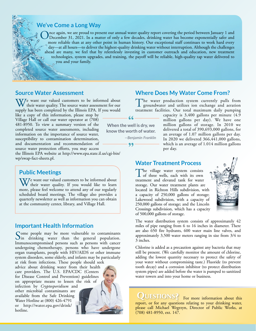#### **We've Come a Long Way**

Once again, we are proud to present our annual water quality report covering the period between January 1 and December 31, 2021. In a matter of only a few decades, drinking water has become exponentially safer and propose more reliable than at any other point in human history. Our exceptional staff continues to work hard every day—at all hours—to deliver the highest-quality drinking water without interruption. Although the challenges ahead are many, we feel that by relentlessly investing in customer outreach and education, new treatment technologies, system upgrades, and training, the payoff will be reliable, high-quality tap water delivered to you and your family.

#### **Source Water Assessment**

VIe want our valued customers to be informed about their water quality. The source water assessment for our supply has been completed by the Illinois EPA. If you would

like a copy of this information, please stop by Village Hall or call our water operator at (708) 481-8950. To view a summary version of the completed source water assessments, including information on the importance of source water, susceptibility to contamination determination, and documentation and recommendation of source water protection efforts, you may access

the Illinois EPA website at [http://www.epa.state.il.us/cgi-bin/](http://www.epa.state.il.us/cgi-bin/wp/swap-fact-sheets.pl) [wp/swap-fact-sheets.pl](http://www.epa.state.il.us/cgi-bin/wp/swap-fact-sheets.pl).

## **Public Meetings**

We want our valued customers to be informed about<br>their water quality. If you would like to learn<br>more also feel welcome to strend our of our application more, please feel welcome to attend any of our regularly scheduled board meetings. The village also provides a quarterly newsletter as well as information you can obtain at the community center, library, and Village Hall.

#### **Important Health Information**

Some people may be more vulnerable to contaminants<br>in drinking water than the general population. Immunocompromised persons such as persons with cancer undergoing chemotherapy, persons who have undergone organ transplants, people with HIV/AIDS or other immune system disorders, some elderly, and infants may be particularly

at risk from infections. These people should seek advice about drinking water from their health care providers. The U.S. EPA/CDC (Centers for Disease Control and Prevention) guidelines on appropriate means to lessen the risk of infection by *Cryptosporidium* and other microbial contaminants are

available from the Safe Drinking Water Hotline at (800) 426-4791 or [http://water.epa.gov/drink/](http://water.epa.gov/drink/hotline) [hotline.](http://water.epa.gov/drink/hotline)

#### **Where Does My Water Come From?**

The water production system currently pulls from groundwater and utilizes ion exchange and aeration treatment facilities. Our total maximum daily pumping

 $66$ **When the well is dry, we know the worth of water.** *—Benjamin Franklin*

99

capacity is 3,400 gallons per minute (4.9 million gallons per day). We have one million gallons of storage. In 2010 we delivered a total of 390,693,000 gallons, for an average of 1.07 million gallons per day. In 2020 we delivered 366,441,000 gallons, which is an average of 1.014 million gallons per day.

**Water Treatment Process**

The village water system consists<br>of three wells, each with its own treatment and elevated tank for water storage. Our water treatment plants are located in Richton Hills subdivision, with a capacity of 250,000 gallons of storage; Lakewood subdivision, with a capacity of 250,000 gallons of storage; and the Lincoln Crossings subdivision, which has a capacity of 500,000 gallons of storage.



The water distribution system consists of approximately 42 miles of pipe ranging from 6 to 16 inches in diameter. There are also 650 fire hydrants, 600 water main line valves, and approximately 3,500 water meters ranging in size from 3/4 to 3 inches.

Chlorine is added as a precaution against any bacteria that may still be present. (We carefully monitor the amount of chlorine, adding the lowest quantity necessary to protect the safety of your water without compromising taste.) Fluoride (to prevent tooth decay) and a corrosion inhibitor (to protect distribution system pipes) are added before the water is pumped to sanitized water towers and into your home or business.

#### QUESTIONS? For more information about this report, or for any questions relating to your drinking water, please call Michael Wegrzyn, Director of Public Works, at (708) 481-8950, ext. 147.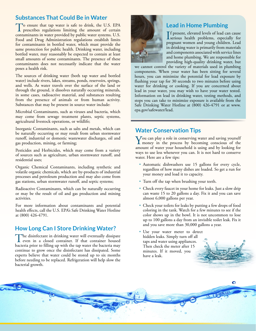# **Substances That Could Be in Water**

To ensure that tap water is safe to drink, the U.S. EPA prescribes regulations limiting the amount of certain contaminants in water provided by public water systems. U.S. Food and Drug Administration regulations establish limits for contaminants in bottled water, which must provide the same protection for public health. Drinking water, including bottled water, may reasonably be expected to contain at least small amounts of some contaminants. The presence of these contaminants does not necessarily indicate that the water poses a health risk.

The sources of drinking water (both tap water and bottled water) include rivers, lakes, streams, ponds, reservoirs, springs, and wells. As water travels over the surface of the land or through the ground, it dissolves naturally occurring minerals, in some cases, radioactive material, and substances resulting from the presence of animals or from human activity. Substances that may be present in source water include:

Microbial Contaminants, such as viruses and bacteria, which may come from sewage treatment plants, septic systems, agricultural livestock operations, or wildlife;

Inorganic Contaminants, such as salts and metals, which can be naturally occurring or may result from urban stormwater runoff, industrial or domestic wastewater discharges, oil and gas production, mining, or farming;

Pesticides and Herbicides, which may come from a variety of sources such as agriculture, urban stormwater runoff, and residential uses;

Organic Chemical Contaminants, including synthetic and volatile organic chemicals, which are by-products of industrial processes and petroleum production and may also come from gas stations, urban stormwater runoff, and septic systems;

Radioactive Contaminants, which can be naturally occurring or may be the result of oil and gas production and mining activities.

For more information about contaminants and potential health effects, call the U.S. EPA's Safe Drinking Water Hotline at (800) 426-4791.

## **How Long Can I Store Drinking Water?**

The disinfectant in drinking water will eventually dissipate even in a closed container. If that container housed bacteria prior to filling up with the tap water the bacteria may continue to grow once the disinfectant has dissipated. Some experts believe that water could be stored up to six months before needing to be replaced. Refrigeration will help slow the bacterial growth.

õ



# **Lead in Home Plumbing**

If present, elevated levels of lead can cause<br>serious health problems, especially for **T** f present, elevated levels of lead can cause pregnant women and young children. Lead in drinking water is primarily from materials and components associated with service lines and home plumbing. We are responsible for providing high-quality drinking water, but

we cannot control the variety of materials used in plumbing components. When your water has been sitting for several hours, you can minimize the potential for lead exposure by flushing your tap for 30 seconds to two minutes before using water for drinking or cooking. If you are concerned about lead in your water, you may wish to have your water tested. Information on lead in drinking water, testing methods, and steps you can take to minimize exposure is available from the Safe Drinking Water Hotline at (800) 426-4791 or at [www.](http://www.epa.gov/safewater/lead) [epa.gov/safewater/lead.](http://www.epa.gov/safewater/lead)

# **Water Conservation Tips**

You can play a role in conserving water and saving yourself<br>money in the process by becoming conscious of the<br>money of unter wave bounded is using and by looking for amount of water your household is using and by looking for ways to use less whenever you can. It is not hard to conserve water. Here are a few tips:

- Automatic dishwashers use 15 gallons for every cycle, regardless of how many dishes are loaded. So get a run for your money and load it to capacity.
- Turn off the tap when brushing your teeth.
- Check every faucet in your home for leaks. Just a slow drip can waste 15 to 20 gallons a day. Fix it and you can save almost 6,000 gallons per year.
- Check your toilets for leaks by putting a few drops of food coloring in the tank. Watch for a few minutes to see if the color shows up in the bowl. It is not uncommon to lose up to 100 gallons a day from an invisible toilet leak. Fix it and you save more than 30,000 gallons a year.

 $\bullet$ 

• Use your water meter to detect hidden leaks. Simply turn off all taps and water using appliances. Then check the meter after 15 minutes. If it moved, you have a leak.

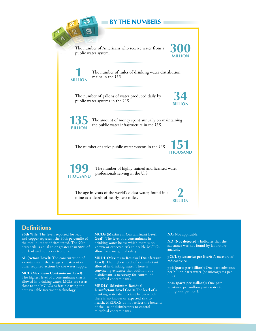

## **Definitions**

**90th %ile:** The levels reported for lead and copper represent the 90th percentile of the total number of sites tested. The 90th percentile is equal to or greater than 90% of our lead and copper detections.

**AL (Action Level):** The concentration of a contaminant that triggers treatment or other required actions by the water supply.

**MCL (Maximum Contaminant Level):** The highest level of a contaminant that is allowed in drinking water. MCLs are set as close to the MCLGs as feasible using the best available treatment technology.

**MCLG (Maximum Contaminant Level Goal):** The level of a contaminant in drinking water below which there is no known or expected risk to health. MCLGs allow for a margin of safety.

**MRDL (Maximum Residual Disinfectant Level):** The highest level of a disinfectant allowed in drinking water. There is convincing evidence that addition of a disinfectant is necessary for control of microbial contaminants.

**MRDLG (Maximum Residual Disinfectant Level Goal):** The level of a drinking water disinfectant below which there is no known or expected risk to health. MRDLGs do not reflect the benefits of the use of disinfectants to control microbial contaminants.

**NA:** Not applicable.

**ND (Not detected):** Indicates that the substance was not found by laboratory analysis.

**pCi/L (picocuries per liter):** A measure of radioactivity.

**ppb (parts per billion):** One part substance per billion parts water (or micrograms per liter).

**ppm (parts per million):** One part substance per million parts water (or milligrams per liter).